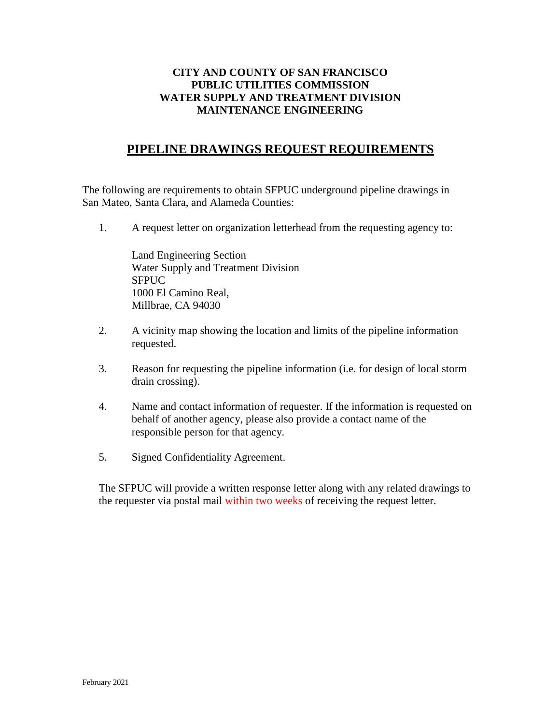## **CITY AND COUNTY OF SAN FRANCISCO PUBLIC UTILITIES COMMISSION WATER SUPPLY AND TREATMENT DIVISION MAINTENANCE ENGINEERING**

## **PIPELINE DRAWINGS REQUEST REQUIREMENTS**

The following are requirements to obtain SFPUC underground pipeline drawings in San Mateo, Santa Clara, and Alameda Counties:

1. A request letter on organization letterhead from the requesting agency to:

Land Engineering Section Water Supply and Treatment Division SFPUC 1000 El Camino Real, Millbrae, CA 94030

- 2. A vicinity map showing the location and limits of the pipeline information requested.
- 3. Reason for requesting the pipeline information (i.e. for design of local storm drain crossing).
- 4. Name and contact information of requester. If the information is requested on behalf of another agency, please also provide a contact name of the responsible person for that agency.
- 5. Signed Confidentiality Agreement.

The SFPUC will provide a written response letter along with any related drawings to the requester via postal mail within two weeks of receiving the request letter.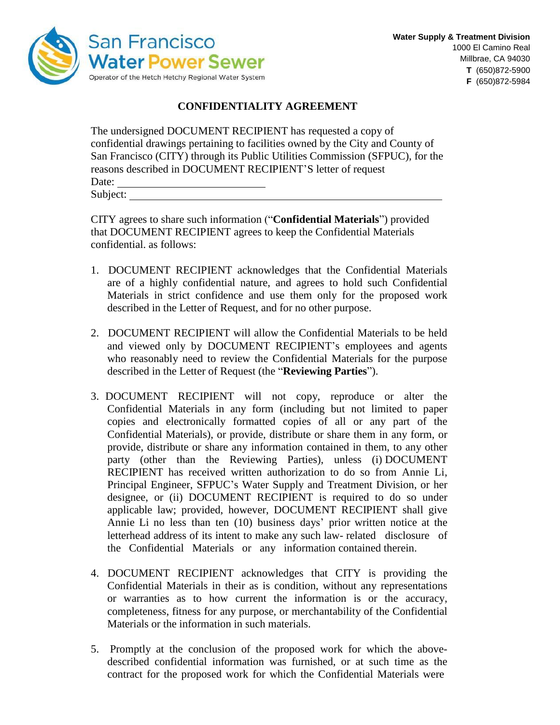

## **CONFIDENTIALITY AGREEMENT**

| The undersigned DOCUMENT RECIPIENT has requested a copy of                     |
|--------------------------------------------------------------------------------|
| confidential drawings pertaining to facilities owned by the City and County of |
| San Francisco (CITY) through its Public Utilities Commission (SFPUC), for the  |
| reasons described in DOCUMENT RECIPIENT'S letter of request                    |
| Date:                                                                          |
| Subject:                                                                       |

CITY agrees to share such information ("**Confidential Materials**") provided that DOCUMENT RECIPIENT agrees to keep the Confidential Materials confidential. as follows:

- 1. DOCUMENT RECIPIENT acknowledges that the Confidential Materials are of a highly confidential nature, and agrees to hold such Confidential Materials in strict confidence and use them only for the proposed work described in the Letter of Request, and for no other purpose.
- 2. DOCUMENT RECIPIENT will allow the Confidential Materials to be held and viewed only by DOCUMENT RECIPIENT's employees and agents who reasonably need to review the Confidential Materials for the purpose described in the Letter of Request (the "**Reviewing Parties**").
- 3. DOCUMENT RECIPIENT will not copy, reproduce or alter the Confidential Materials in any form (including but not limited to paper copies and electronically formatted copies of all or any part of the Confidential Materials), or provide, distribute or share them in any form, or provide, distribute or share any information contained in them, to any other party (other than the Reviewing Parties), unless (i) DOCUMENT RECIPIENT has received written authorization to do so from Annie Li, Principal Engineer, SFPUC's Water Supply and Treatment Division, or her designee, or (ii) DOCUMENT RECIPIENT is required to do so under applicable law; provided, however, DOCUMENT RECIPIENT shall give Annie Li no less than ten (10) business days' prior written notice at the letterhead address of its intent to make any such law- related disclosure of the Confidential Materials or any information contained therein.
- 4. DOCUMENT RECIPIENT acknowledges that CITY is providing the Confidential Materials in their as is condition, without any representations or warranties as to how current the information is or the accuracy, completeness, fitness for any purpose, or merchantability of the Confidential Materials or the information in such materials.
- 5. Promptly at the conclusion of the proposed work for which the abovedescribed confidential information was furnished, or at such time as the contract for the proposed work for which the Confidential Materials were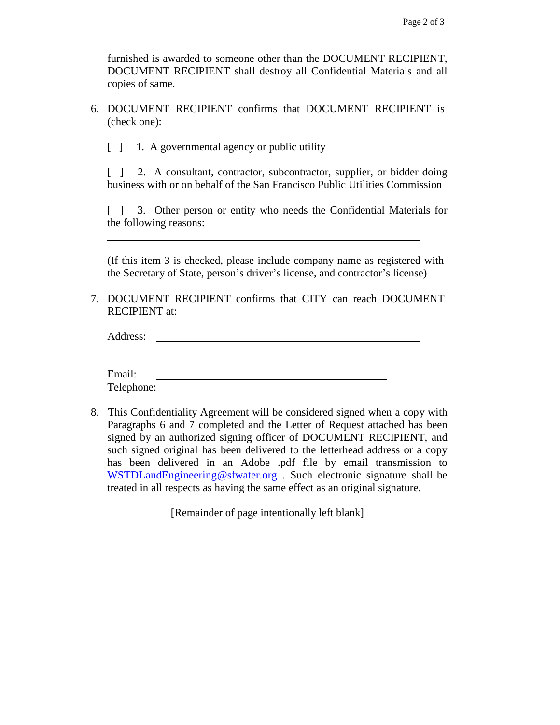furnished is awarded to someone other than the DOCUMENT RECIPIENT, DOCUMENT RECIPIENT shall destroy all Confidential Materials and all copies of same.

6. DOCUMENT RECIPIENT confirms that DOCUMENT RECIPIENT is (check one):

 $\begin{bmatrix} 1 & 1 \\ 1 & 4 \end{bmatrix}$  a governmental agency or public utility

[  $\vert$  2. A consultant, contractor, subcontractor, supplier, or bidder doing business with or on behalf of the San Francisco Public Utilities Commission

[ ] 3. Other person or entity who needs the Confidential Materials for the following reasons:

(If this item 3 is checked, please include company name as registered with the Secretary of State, person's driver's license, and contractor's license)

7. DOCUMENT RECIPIENT confirms that CITY can reach DOCUMENT RECIPIENT at:

| Address:   |  |
|------------|--|
|            |  |
|            |  |
| Email:     |  |
| Telephone: |  |

8. This Confidentiality Agreement will be considered signed when a copy with Paragraphs 6 and 7 completed and the Letter of Request attached has been signed by an authorized signing officer of DOCUMENT RECIPIENT, and such signed original has been delivered to the letterhead address or a copy has been delivered in an Adobe .pdf file by email transmission to [WSTDLandEngineering@sfwater.org](mailto:WSTDLandEngineering@sfwater.org) . Such electronic signature shall be treated in all respects as having the same effect as an original signature.

[Remainder of page intentionally left blank]